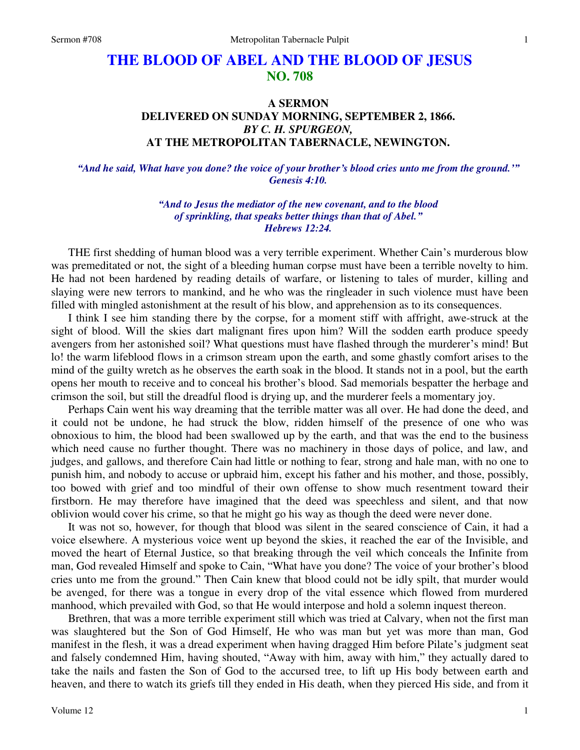## **THE BLOOD OF ABEL AND THE BLOOD OF JESUS NO. 708**

## **A SERMON DELIVERED ON SUNDAY MORNING, SEPTEMBER 2, 1866.**  *BY C. H. SPURGEON,*  **AT THE METROPOLITAN TABERNACLE, NEWINGTON.**

*"And he said, What have you done? the voice of your brother's blood cries unto me from the ground.'" Genesis 4:10.* 

> *"And to Jesus the mediator of the new covenant, and to the blood of sprinkling, that speaks better things than that of Abel." Hebrews 12:24.*

THE first shedding of human blood was a very terrible experiment. Whether Cain's murderous blow was premeditated or not, the sight of a bleeding human corpse must have been a terrible novelty to him. He had not been hardened by reading details of warfare, or listening to tales of murder, killing and slaying were new terrors to mankind, and he who was the ringleader in such violence must have been filled with mingled astonishment at the result of his blow, and apprehension as to its consequences.

I think I see him standing there by the corpse, for a moment stiff with affright, awe-struck at the sight of blood. Will the skies dart malignant fires upon him? Will the sodden earth produce speedy avengers from her astonished soil? What questions must have flashed through the murderer's mind! But lo! the warm lifeblood flows in a crimson stream upon the earth, and some ghastly comfort arises to the mind of the guilty wretch as he observes the earth soak in the blood. It stands not in a pool, but the earth opens her mouth to receive and to conceal his brother's blood. Sad memorials bespatter the herbage and crimson the soil, but still the dreadful flood is drying up, and the murderer feels a momentary joy.

Perhaps Cain went his way dreaming that the terrible matter was all over. He had done the deed, and it could not be undone, he had struck the blow, ridden himself of the presence of one who was obnoxious to him, the blood had been swallowed up by the earth, and that was the end to the business which need cause no further thought. There was no machinery in those days of police, and law, and judges, and gallows, and therefore Cain had little or nothing to fear, strong and hale man, with no one to punish him, and nobody to accuse or upbraid him, except his father and his mother, and those, possibly, too bowed with grief and too mindful of their own offense to show much resentment toward their firstborn. He may therefore have imagined that the deed was speechless and silent, and that now oblivion would cover his crime, so that he might go his way as though the deed were never done.

It was not so, however, for though that blood was silent in the seared conscience of Cain, it had a voice elsewhere. A mysterious voice went up beyond the skies, it reached the ear of the Invisible, and moved the heart of Eternal Justice, so that breaking through the veil which conceals the Infinite from man, God revealed Himself and spoke to Cain, "What have you done? The voice of your brother's blood cries unto me from the ground." Then Cain knew that blood could not be idly spilt, that murder would be avenged, for there was a tongue in every drop of the vital essence which flowed from murdered manhood, which prevailed with God, so that He would interpose and hold a solemn inquest thereon.

Brethren, that was a more terrible experiment still which was tried at Calvary, when not the first man was slaughtered but the Son of God Himself, He who was man but yet was more than man, God manifest in the flesh, it was a dread experiment when having dragged Him before Pilate's judgment seat and falsely condemned Him, having shouted, "Away with him, away with him," they actually dared to take the nails and fasten the Son of God to the accursed tree, to lift up His body between earth and heaven, and there to watch its griefs till they ended in His death, when they pierced His side, and from it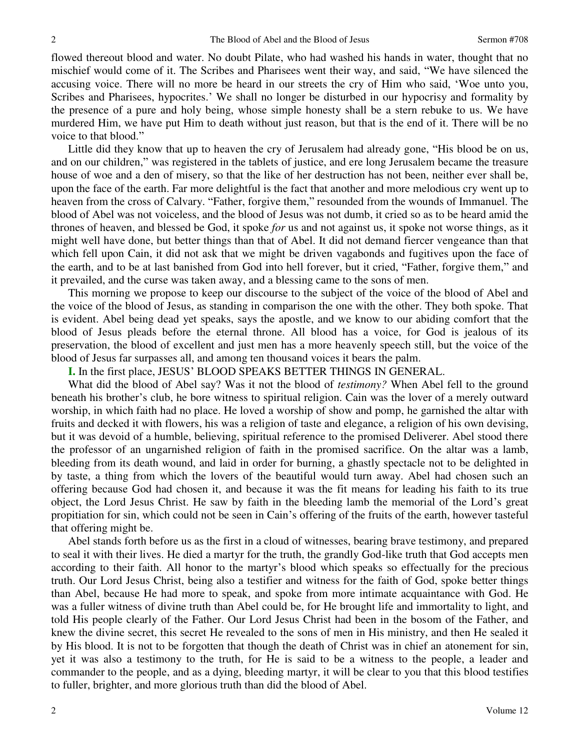flowed thereout blood and water. No doubt Pilate, who had washed his hands in water, thought that no mischief would come of it. The Scribes and Pharisees went their way, and said, "We have silenced the accusing voice. There will no more be heard in our streets the cry of Him who said, 'Woe unto you, Scribes and Pharisees, hypocrites.' We shall no longer be disturbed in our hypocrisy and formality by the presence of a pure and holy being, whose simple honesty shall be a stern rebuke to us. We have murdered Him, we have put Him to death without just reason, but that is the end of it. There will be no voice to that blood."

Little did they know that up to heaven the cry of Jerusalem had already gone, "His blood be on us, and on our children," was registered in the tablets of justice, and ere long Jerusalem became the treasure house of woe and a den of misery, so that the like of her destruction has not been, neither ever shall be, upon the face of the earth. Far more delightful is the fact that another and more melodious cry went up to heaven from the cross of Calvary. "Father, forgive them," resounded from the wounds of Immanuel. The blood of Abel was not voiceless, and the blood of Jesus was not dumb, it cried so as to be heard amid the thrones of heaven, and blessed be God, it spoke *for* us and not against us, it spoke not worse things, as it might well have done, but better things than that of Abel. It did not demand fiercer vengeance than that which fell upon Cain, it did not ask that we might be driven vagabonds and fugitives upon the face of the earth, and to be at last banished from God into hell forever, but it cried, "Father, forgive them," and it prevailed, and the curse was taken away, and a blessing came to the sons of men.

This morning we propose to keep our discourse to the subject of the voice of the blood of Abel and the voice of the blood of Jesus, as standing in comparison the one with the other. They both spoke. That is evident. Abel being dead yet speaks, says the apostle, and we know to our abiding comfort that the blood of Jesus pleads before the eternal throne. All blood has a voice, for God is jealous of its preservation, the blood of excellent and just men has a more heavenly speech still, but the voice of the blood of Jesus far surpasses all, and among ten thousand voices it bears the palm.

**I.** In the first place, JESUS' BLOOD SPEAKS BETTER THINGS IN GENERAL.

What did the blood of Abel say? Was it not the blood of *testimony?* When Abel fell to the ground beneath his brother's club, he bore witness to spiritual religion. Cain was the lover of a merely outward worship, in which faith had no place. He loved a worship of show and pomp, he garnished the altar with fruits and decked it with flowers, his was a religion of taste and elegance, a religion of his own devising, but it was devoid of a humble, believing, spiritual reference to the promised Deliverer. Abel stood there the professor of an ungarnished religion of faith in the promised sacrifice. On the altar was a lamb, bleeding from its death wound, and laid in order for burning, a ghastly spectacle not to be delighted in by taste, a thing from which the lovers of the beautiful would turn away. Abel had chosen such an offering because God had chosen it, and because it was the fit means for leading his faith to its true object, the Lord Jesus Christ. He saw by faith in the bleeding lamb the memorial of the Lord's great propitiation for sin, which could not be seen in Cain's offering of the fruits of the earth, however tasteful that offering might be.

Abel stands forth before us as the first in a cloud of witnesses, bearing brave testimony, and prepared to seal it with their lives. He died a martyr for the truth, the grandly God-like truth that God accepts men according to their faith. All honor to the martyr's blood which speaks so effectually for the precious truth. Our Lord Jesus Christ, being also a testifier and witness for the faith of God, spoke better things than Abel, because He had more to speak, and spoke from more intimate acquaintance with God. He was a fuller witness of divine truth than Abel could be, for He brought life and immortality to light, and told His people clearly of the Father. Our Lord Jesus Christ had been in the bosom of the Father, and knew the divine secret, this secret He revealed to the sons of men in His ministry, and then He sealed it by His blood. It is not to be forgotten that though the death of Christ was in chief an atonement for sin, yet it was also a testimony to the truth, for He is said to be a witness to the people, a leader and commander to the people, and as a dying, bleeding martyr, it will be clear to you that this blood testifies to fuller, brighter, and more glorious truth than did the blood of Abel.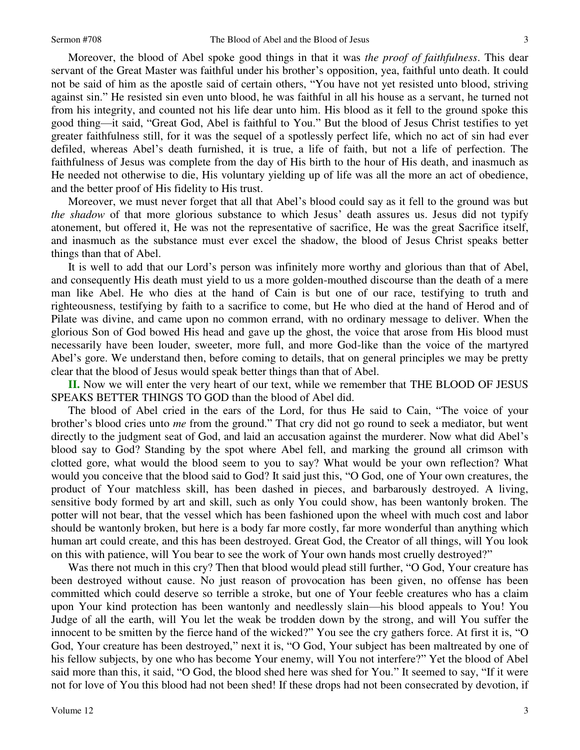Moreover, the blood of Abel spoke good things in that it was *the proof of faithfulness*. This dear servant of the Great Master was faithful under his brother's opposition, yea, faithful unto death. It could not be said of him as the apostle said of certain others, "You have not yet resisted unto blood, striving against sin." He resisted sin even unto blood, he was faithful in all his house as a servant, he turned not from his integrity, and counted not his life dear unto him. His blood as it fell to the ground spoke this good thing—it said, "Great God, Abel is faithful to You." But the blood of Jesus Christ testifies to yet greater faithfulness still, for it was the sequel of a spotlessly perfect life, which no act of sin had ever defiled, whereas Abel's death furnished, it is true, a life of faith, but not a life of perfection. The faithfulness of Jesus was complete from the day of His birth to the hour of His death, and inasmuch as He needed not otherwise to die, His voluntary yielding up of life was all the more an act of obedience, and the better proof of His fidelity to His trust.

Moreover, we must never forget that all that Abel's blood could say as it fell to the ground was but *the shadow* of that more glorious substance to which Jesus' death assures us. Jesus did not typify atonement, but offered it, He was not the representative of sacrifice, He was the great Sacrifice itself, and inasmuch as the substance must ever excel the shadow, the blood of Jesus Christ speaks better things than that of Abel.

It is well to add that our Lord's person was infinitely more worthy and glorious than that of Abel, and consequently His death must yield to us a more golden-mouthed discourse than the death of a mere man like Abel. He who dies at the hand of Cain is but one of our race, testifying to truth and righteousness, testifying by faith to a sacrifice to come, but He who died at the hand of Herod and of Pilate was divine, and came upon no common errand, with no ordinary message to deliver. When the glorious Son of God bowed His head and gave up the ghost, the voice that arose from His blood must necessarily have been louder, sweeter, more full, and more God-like than the voice of the martyred Abel's gore. We understand then, before coming to details, that on general principles we may be pretty clear that the blood of Jesus would speak better things than that of Abel.

**II.** Now we will enter the very heart of our text, while we remember that THE BLOOD OF JESUS SPEAKS BETTER THINGS TO GOD than the blood of Abel did.

The blood of Abel cried in the ears of the Lord, for thus He said to Cain, "The voice of your brother's blood cries unto *me* from the ground." That cry did not go round to seek a mediator, but went directly to the judgment seat of God, and laid an accusation against the murderer. Now what did Abel's blood say to God? Standing by the spot where Abel fell, and marking the ground all crimson with clotted gore, what would the blood seem to you to say? What would be your own reflection? What would you conceive that the blood said to God? It said just this, "O God, one of Your own creatures, the product of Your matchless skill, has been dashed in pieces, and barbarously destroyed. A living, sensitive body formed by art and skill, such as only You could show, has been wantonly broken. The potter will not bear, that the vessel which has been fashioned upon the wheel with much cost and labor should be wantonly broken, but here is a body far more costly, far more wonderful than anything which human art could create, and this has been destroyed. Great God, the Creator of all things, will You look on this with patience, will You bear to see the work of Your own hands most cruelly destroyed?"

Was there not much in this cry? Then that blood would plead still further, "O God, Your creature has been destroyed without cause. No just reason of provocation has been given, no offense has been committed which could deserve so terrible a stroke, but one of Your feeble creatures who has a claim upon Your kind protection has been wantonly and needlessly slain—his blood appeals to You! You Judge of all the earth, will You let the weak be trodden down by the strong, and will You suffer the innocent to be smitten by the fierce hand of the wicked?" You see the cry gathers force. At first it is, "O God, Your creature has been destroyed," next it is, "O God, Your subject has been maltreated by one of his fellow subjects, by one who has become Your enemy, will You not interfere?" Yet the blood of Abel said more than this, it said, "O God, the blood shed here was shed for You." It seemed to say, "If it were not for love of You this blood had not been shed! If these drops had not been consecrated by devotion, if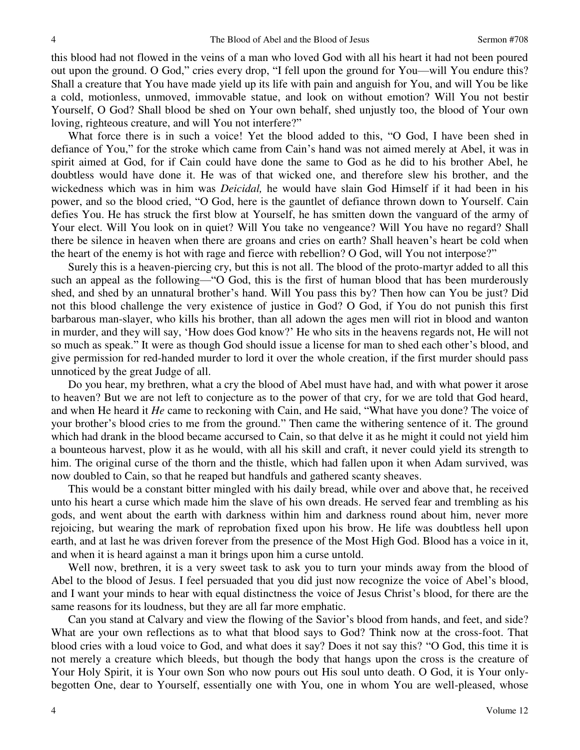this blood had not flowed in the veins of a man who loved God with all his heart it had not been poured out upon the ground. O God," cries every drop, "I fell upon the ground for You—will You endure this? Shall a creature that You have made yield up its life with pain and anguish for You, and will You be like a cold, motionless, unmoved, immovable statue, and look on without emotion? Will You not bestir Yourself, O God? Shall blood be shed on Your own behalf, shed unjustly too, the blood of Your own loving, righteous creature, and will You not interfere?"

What force there is in such a voice! Yet the blood added to this, "O God, I have been shed in defiance of You," for the stroke which came from Cain's hand was not aimed merely at Abel, it was in spirit aimed at God, for if Cain could have done the same to God as he did to his brother Abel, he doubtless would have done it. He was of that wicked one, and therefore slew his brother, and the wickedness which was in him was *Deicidal,* he would have slain God Himself if it had been in his power, and so the blood cried, "O God, here is the gauntlet of defiance thrown down to Yourself. Cain defies You. He has struck the first blow at Yourself, he has smitten down the vanguard of the army of Your elect. Will You look on in quiet? Will You take no vengeance? Will You have no regard? Shall there be silence in heaven when there are groans and cries on earth? Shall heaven's heart be cold when the heart of the enemy is hot with rage and fierce with rebellion? O God, will You not interpose?"

Surely this is a heaven-piercing cry, but this is not all. The blood of the proto-martyr added to all this such an appeal as the following—"O God, this is the first of human blood that has been murderously shed, and shed by an unnatural brother's hand. Will You pass this by? Then how can You be just? Did not this blood challenge the very existence of justice in God? O God, if You do not punish this first barbarous man-slayer, who kills his brother, than all adown the ages men will riot in blood and wanton in murder, and they will say, 'How does God know?' He who sits in the heavens regards not, He will not so much as speak." It were as though God should issue a license for man to shed each other's blood, and give permission for red-handed murder to lord it over the whole creation, if the first murder should pass unnoticed by the great Judge of all.

Do you hear, my brethren, what a cry the blood of Abel must have had, and with what power it arose to heaven? But we are not left to conjecture as to the power of that cry, for we are told that God heard, and when He heard it *He* came to reckoning with Cain, and He said, "What have you done? The voice of your brother's blood cries to me from the ground." Then came the withering sentence of it. The ground which had drank in the blood became accursed to Cain, so that delve it as he might it could not yield him a bounteous harvest, plow it as he would, with all his skill and craft, it never could yield its strength to him. The original curse of the thorn and the thistle, which had fallen upon it when Adam survived, was now doubled to Cain, so that he reaped but handfuls and gathered scanty sheaves.

This would be a constant bitter mingled with his daily bread, while over and above that, he received unto his heart a curse which made him the slave of his own dreads. He served fear and trembling as his gods, and went about the earth with darkness within him and darkness round about him, never more rejoicing, but wearing the mark of reprobation fixed upon his brow. He life was doubtless hell upon earth, and at last he was driven forever from the presence of the Most High God. Blood has a voice in it, and when it is heard against a man it brings upon him a curse untold.

Well now, brethren, it is a very sweet task to ask you to turn your minds away from the blood of Abel to the blood of Jesus. I feel persuaded that you did just now recognize the voice of Abel's blood, and I want your minds to hear with equal distinctness the voice of Jesus Christ's blood, for there are the same reasons for its loudness, but they are all far more emphatic.

Can you stand at Calvary and view the flowing of the Savior's blood from hands, and feet, and side? What are your own reflections as to what that blood says to God? Think now at the cross-foot. That blood cries with a loud voice to God, and what does it say? Does it not say this? "O God, this time it is not merely a creature which bleeds, but though the body that hangs upon the cross is the creature of Your Holy Spirit, it is Your own Son who now pours out His soul unto death. O God, it is Your onlybegotten One, dear to Yourself, essentially one with You, one in whom You are well-pleased, whose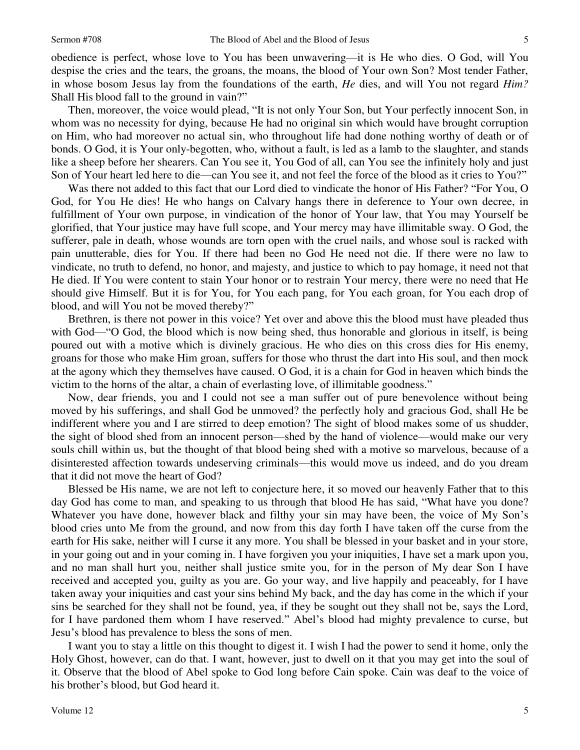obedience is perfect, whose love to You has been unwavering—it is He who dies. O God, will You despise the cries and the tears, the groans, the moans, the blood of Your own Son? Most tender Father, in whose bosom Jesus lay from the foundations of the earth, *He* dies, and will You not regard *Him?* Shall His blood fall to the ground in vain?"

Then, moreover, the voice would plead, "It is not only Your Son, but Your perfectly innocent Son, in whom was no necessity for dying, because He had no original sin which would have brought corruption on Him, who had moreover no actual sin, who throughout life had done nothing worthy of death or of bonds. O God, it is Your only-begotten, who, without a fault, is led as a lamb to the slaughter, and stands like a sheep before her shearers. Can You see it, You God of all, can You see the infinitely holy and just Son of Your heart led here to die—can You see it, and not feel the force of the blood as it cries to You?"

Was there not added to this fact that our Lord died to vindicate the honor of His Father? "For You, O God, for You He dies! He who hangs on Calvary hangs there in deference to Your own decree, in fulfillment of Your own purpose, in vindication of the honor of Your law, that You may Yourself be glorified, that Your justice may have full scope, and Your mercy may have illimitable sway. O God, the sufferer, pale in death, whose wounds are torn open with the cruel nails, and whose soul is racked with pain unutterable, dies for You. If there had been no God He need not die. If there were no law to vindicate, no truth to defend, no honor, and majesty, and justice to which to pay homage, it need not that He died. If You were content to stain Your honor or to restrain Your mercy, there were no need that He should give Himself. But it is for You, for You each pang, for You each groan, for You each drop of blood, and will You not be moved thereby?"

Brethren, is there not power in this voice? Yet over and above this the blood must have pleaded thus with God—"O God, the blood which is now being shed, thus honorable and glorious in itself, is being poured out with a motive which is divinely gracious. He who dies on this cross dies for His enemy, groans for those who make Him groan, suffers for those who thrust the dart into His soul, and then mock at the agony which they themselves have caused. O God, it is a chain for God in heaven which binds the victim to the horns of the altar, a chain of everlasting love, of illimitable goodness."

Now, dear friends, you and I could not see a man suffer out of pure benevolence without being moved by his sufferings, and shall God be unmoved? the perfectly holy and gracious God, shall He be indifferent where you and I are stirred to deep emotion? The sight of blood makes some of us shudder, the sight of blood shed from an innocent person—shed by the hand of violence—would make our very souls chill within us, but the thought of that blood being shed with a motive so marvelous, because of a disinterested affection towards undeserving criminals—this would move us indeed, and do you dream that it did not move the heart of God?

Blessed be His name, we are not left to conjecture here, it so moved our heavenly Father that to this day God has come to man, and speaking to us through that blood He has said, "What have you done? Whatever you have done, however black and filthy your sin may have been, the voice of My Son's blood cries unto Me from the ground, and now from this day forth I have taken off the curse from the earth for His sake, neither will I curse it any more. You shall be blessed in your basket and in your store, in your going out and in your coming in. I have forgiven you your iniquities, I have set a mark upon you, and no man shall hurt you, neither shall justice smite you, for in the person of My dear Son I have received and accepted you, guilty as you are. Go your way, and live happily and peaceably, for I have taken away your iniquities and cast your sins behind My back, and the day has come in the which if your sins be searched for they shall not be found, yea, if they be sought out they shall not be, says the Lord, for I have pardoned them whom I have reserved." Abel's blood had mighty prevalence to curse, but Jesu's blood has prevalence to bless the sons of men.

I want you to stay a little on this thought to digest it. I wish I had the power to send it home, only the Holy Ghost, however, can do that. I want, however, just to dwell on it that you may get into the soul of it. Observe that the blood of Abel spoke to God long before Cain spoke. Cain was deaf to the voice of his brother's blood, but God heard it.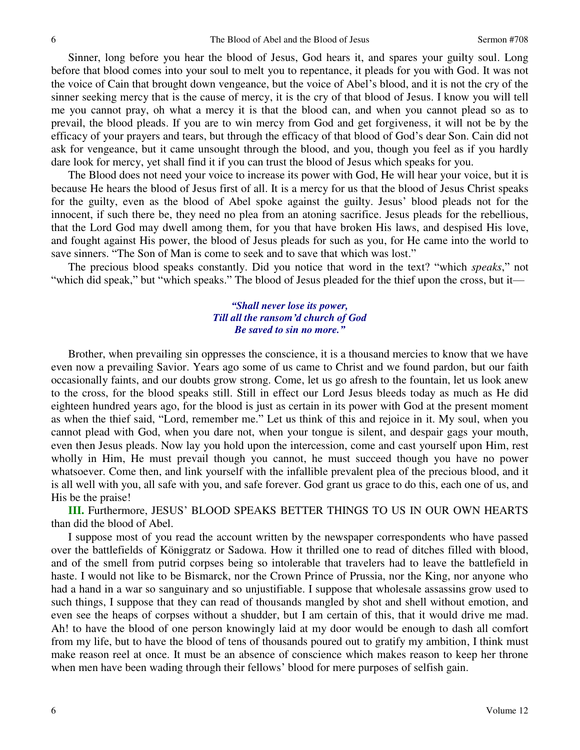Sinner, long before you hear the blood of Jesus, God hears it, and spares your guilty soul. Long before that blood comes into your soul to melt you to repentance, it pleads for you with God. It was not the voice of Cain that brought down vengeance, but the voice of Abel's blood, and it is not the cry of the sinner seeking mercy that is the cause of mercy, it is the cry of that blood of Jesus. I know you will tell me you cannot pray, oh what a mercy it is that the blood can, and when you cannot plead so as to prevail, the blood pleads. If you are to win mercy from God and get forgiveness, it will not be by the efficacy of your prayers and tears, but through the efficacy of that blood of God's dear Son. Cain did not ask for vengeance, but it came unsought through the blood, and you, though you feel as if you hardly dare look for mercy, yet shall find it if you can trust the blood of Jesus which speaks for you.

The Blood does not need your voice to increase its power with God, He will hear your voice, but it is because He hears the blood of Jesus first of all. It is a mercy for us that the blood of Jesus Christ speaks for the guilty, even as the blood of Abel spoke against the guilty. Jesus' blood pleads not for the innocent, if such there be, they need no plea from an atoning sacrifice. Jesus pleads for the rebellious, that the Lord God may dwell among them, for you that have broken His laws, and despised His love, and fought against His power, the blood of Jesus pleads for such as you, for He came into the world to save sinners. "The Son of Man is come to seek and to save that which was lost."

The precious blood speaks constantly. Did you notice that word in the text? "which *speaks*," not "which did speak," but "which speaks." The blood of Jesus pleaded for the thief upon the cross, but it—

## *"Shall never lose its power, Till all the ransom'd church of God Be saved to sin no more."*

Brother, when prevailing sin oppresses the conscience, it is a thousand mercies to know that we have even now a prevailing Savior. Years ago some of us came to Christ and we found pardon, but our faith occasionally faints, and our doubts grow strong. Come, let us go afresh to the fountain, let us look anew to the cross, for the blood speaks still. Still in effect our Lord Jesus bleeds today as much as He did eighteen hundred years ago, for the blood is just as certain in its power with God at the present moment as when the thief said, "Lord, remember me." Let us think of this and rejoice in it. My soul, when you cannot plead with God, when you dare not, when your tongue is silent, and despair gags your mouth, even then Jesus pleads. Now lay you hold upon the intercession, come and cast yourself upon Him, rest wholly in Him, He must prevail though you cannot, he must succeed though you have no power whatsoever. Come then, and link yourself with the infallible prevalent plea of the precious blood, and it is all well with you, all safe with you, and safe forever. God grant us grace to do this, each one of us, and His be the praise!

**III.** Furthermore, JESUS' BLOOD SPEAKS BETTER THINGS TO US IN OUR OWN HEARTS than did the blood of Abel.

I suppose most of you read the account written by the newspaper correspondents who have passed over the battlefields of Königgratz or Sadowa. How it thrilled one to read of ditches filled with blood, and of the smell from putrid corpses being so intolerable that travelers had to leave the battlefield in haste. I would not like to be Bismarck, nor the Crown Prince of Prussia, nor the King, nor anyone who had a hand in a war so sanguinary and so unjustifiable. I suppose that wholesale assassins grow used to such things, I suppose that they can read of thousands mangled by shot and shell without emotion, and even see the heaps of corpses without a shudder, but I am certain of this, that it would drive me mad. Ah! to have the blood of one person knowingly laid at my door would be enough to dash all comfort from my life, but to have the blood of tens of thousands poured out to gratify my ambition, I think must make reason reel at once. It must be an absence of conscience which makes reason to keep her throne when men have been wading through their fellows' blood for mere purposes of selfish gain.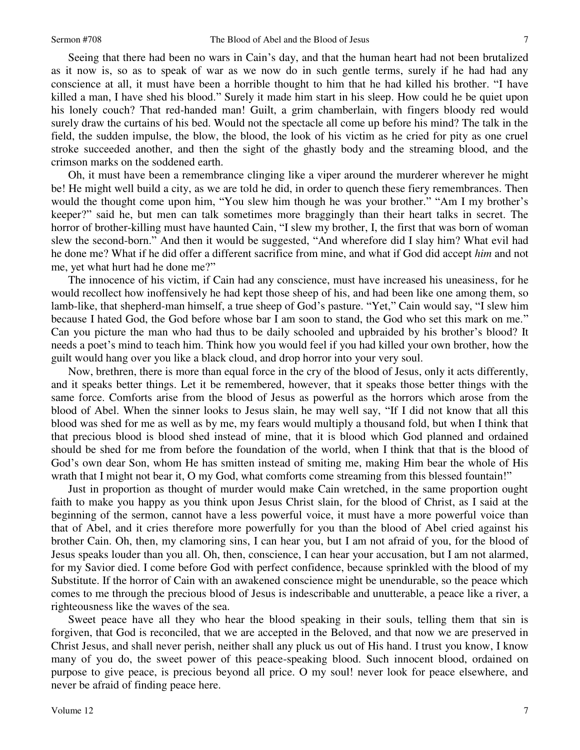Seeing that there had been no wars in Cain's day, and that the human heart had not been brutalized as it now is, so as to speak of war as we now do in such gentle terms, surely if he had had any conscience at all, it must have been a horrible thought to him that he had killed his brother. "I have killed a man, I have shed his blood." Surely it made him start in his sleep. How could he be quiet upon his lonely couch? That red-handed man! Guilt, a grim chamberlain, with fingers bloody red would surely draw the curtains of his bed. Would not the spectacle all come up before his mind? The talk in the field, the sudden impulse, the blow, the blood, the look of his victim as he cried for pity as one cruel stroke succeeded another, and then the sight of the ghastly body and the streaming blood, and the crimson marks on the soddened earth.

Oh, it must have been a remembrance clinging like a viper around the murderer wherever he might be! He might well build a city, as we are told he did, in order to quench these fiery remembrances. Then would the thought come upon him, "You slew him though he was your brother." "Am I my brother's keeper?" said he, but men can talk sometimes more braggingly than their heart talks in secret. The horror of brother-killing must have haunted Cain, "I slew my brother, I, the first that was born of woman slew the second-born." And then it would be suggested, "And wherefore did I slay him? What evil had he done me? What if he did offer a different sacrifice from mine, and what if God did accept *him* and not me, yet what hurt had he done me?"

The innocence of his victim, if Cain had any conscience, must have increased his uneasiness, for he would recollect how inoffensively he had kept those sheep of his, and had been like one among them, so lamb-like, that shepherd-man himself, a true sheep of God's pasture. "Yet," Cain would say, "I slew him because I hated God, the God before whose bar I am soon to stand, the God who set this mark on me." Can you picture the man who had thus to be daily schooled and upbraided by his brother's blood? It needs a poet's mind to teach him. Think how you would feel if you had killed your own brother, how the guilt would hang over you like a black cloud, and drop horror into your very soul.

Now, brethren, there is more than equal force in the cry of the blood of Jesus, only it acts differently, and it speaks better things. Let it be remembered, however, that it speaks those better things with the same force. Comforts arise from the blood of Jesus as powerful as the horrors which arose from the blood of Abel. When the sinner looks to Jesus slain, he may well say, "If I did not know that all this blood was shed for me as well as by me, my fears would multiply a thousand fold, but when I think that that precious blood is blood shed instead of mine, that it is blood which God planned and ordained should be shed for me from before the foundation of the world, when I think that that is the blood of God's own dear Son, whom He has smitten instead of smiting me, making Him bear the whole of His wrath that I might not bear it, O my God, what comforts come streaming from this blessed fountain!"

Just in proportion as thought of murder would make Cain wretched, in the same proportion ought faith to make you happy as you think upon Jesus Christ slain, for the blood of Christ, as I said at the beginning of the sermon, cannot have a less powerful voice, it must have a more powerful voice than that of Abel, and it cries therefore more powerfully for you than the blood of Abel cried against his brother Cain. Oh, then, my clamoring sins, I can hear you, but I am not afraid of you, for the blood of Jesus speaks louder than you all. Oh, then, conscience, I can hear your accusation, but I am not alarmed, for my Savior died. I come before God with perfect confidence, because sprinkled with the blood of my Substitute. If the horror of Cain with an awakened conscience might be unendurable, so the peace which comes to me through the precious blood of Jesus is indescribable and unutterable, a peace like a river, a righteousness like the waves of the sea.

Sweet peace have all they who hear the blood speaking in their souls, telling them that sin is forgiven, that God is reconciled, that we are accepted in the Beloved, and that now we are preserved in Christ Jesus, and shall never perish, neither shall any pluck us out of His hand. I trust you know, I know many of you do, the sweet power of this peace-speaking blood. Such innocent blood, ordained on purpose to give peace, is precious beyond all price. O my soul! never look for peace elsewhere, and never be afraid of finding peace here.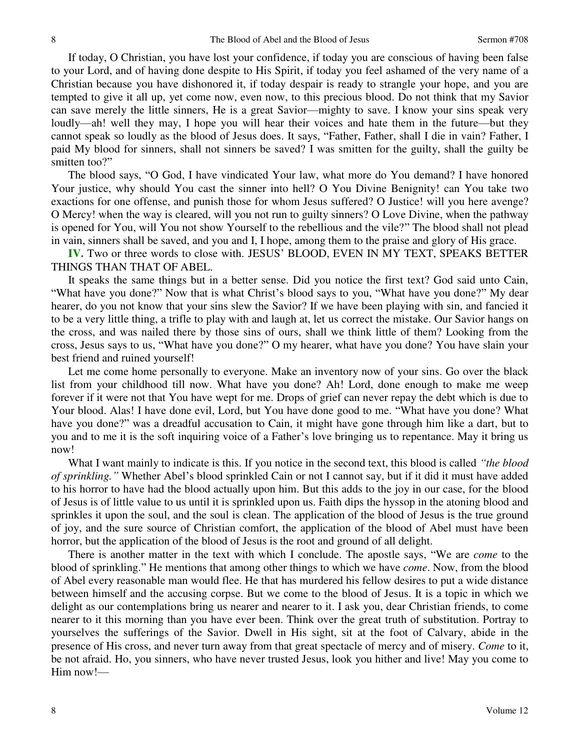If today, O Christian, you have lost your confidence, if today you are conscious of having been false to your Lord, and of having done despite to His Spirit, if today you feel ashamed of the very name of a Christian because you have dishonored it, if today despair is ready to strangle your hope, and you are tempted to give it all up, yet come now, even now, to this precious blood. Do not think that my Savior can save merely the little sinners, He is a great Savior—mighty to save. I know your sins speak very loudly—ah! well they may, I hope you will hear their voices and hate them in the future—but they cannot speak so loudly as the blood of Jesus does. It says, "Father, Father, shall I die in vain? Father, I paid My blood for sinners, shall not sinners be saved? I was smitten for the guilty, shall the guilty be smitten too?"

The blood says, "O God, I have vindicated Your law, what more do You demand? I have honored Your justice, why should You cast the sinner into hell? O You Divine Benignity! can You take two exactions for one offense, and punish those for whom Jesus suffered? O Justice! will you here avenge? O Mercy! when the way is cleared, will you not run to guilty sinners? O Love Divine, when the pathway is opened for You, will You not show Yourself to the rebellious and the vile?" The blood shall not plead in vain, sinners shall be saved, and you and I, I hope, among them to the praise and glory of His grace.

**IV.** Two or three words to close with. JESUS' BLOOD, EVEN IN MY TEXT, SPEAKS BETTER THINGS THAN THAT OF ABEL.

It speaks the same things but in a better sense. Did you notice the first text? God said unto Cain, "What have you done?" Now that is what Christ's blood says to you, "What have you done?" My dear hearer, do you not know that your sins slew the Savior? If we have been playing with sin, and fancied it to be a very little thing, a trifle to play with and laugh at, let us correct the mistake. Our Savior hangs on the cross, and was nailed there by those sins of ours, shall we think little of them? Looking from the cross, Jesus says to us, "What have you done?" O my hearer, what have you done? You have slain your best friend and ruined yourself!

Let me come home personally to everyone. Make an inventory now of your sins. Go over the black list from your childhood till now. What have you done? Ah! Lord, done enough to make me weep forever if it were not that You have wept for me. Drops of grief can never repay the debt which is due to Your blood. Alas! I have done evil, Lord, but You have done good to me. "What have you done? What have you done?" was a dreadful accusation to Cain, it might have gone through him like a dart, but to you and to me it is the soft inquiring voice of a Father's love bringing us to repentance. May it bring us now!

What I want mainly to indicate is this. If you notice in the second text, this blood is called *"the blood of sprinkling."* Whether Abel's blood sprinkled Cain or not I cannot say, but if it did it must have added to his horror to have had the blood actually upon him. But this adds to the joy in our case, for the blood of Jesus is of little value to us until it is sprinkled upon us. Faith dips the hyssop in the atoning blood and sprinkles it upon the soul, and the soul is clean. The application of the blood of Jesus is the true ground of joy, and the sure source of Christian comfort, the application of the blood of Abel must have been horror, but the application of the blood of Jesus is the root and ground of all delight.

There is another matter in the text with which I conclude. The apostle says, "We are *come* to the blood of sprinkling." He mentions that among other things to which we have *come*. Now, from the blood of Abel every reasonable man would flee. He that has murdered his fellow desires to put a wide distance between himself and the accusing corpse. But we come to the blood of Jesus. It is a topic in which we delight as our contemplations bring us nearer and nearer to it. I ask you, dear Christian friends, to come nearer to it this morning than you have ever been. Think over the great truth of substitution. Portray to yourselves the sufferings of the Savior. Dwell in His sight, sit at the foot of Calvary, abide in the presence of His cross, and never turn away from that great spectacle of mercy and of misery. *Come* to it, be not afraid. Ho, you sinners, who have never trusted Jesus, look you hither and live! May you come to Him now!—